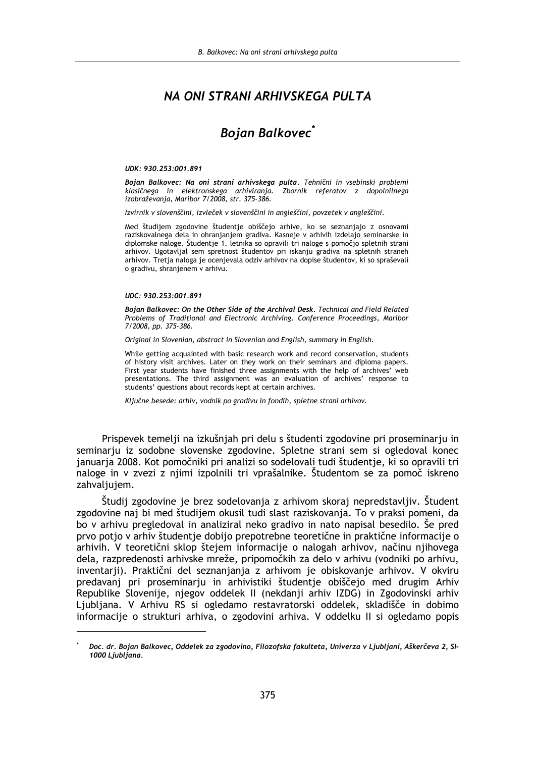# NA ONI STRANI ARHIVSKEGA PULTA

# **Bojan Balkovec**<sup>\*</sup>

#### UDK: 930.253:001.891

Bojan Balkovec: Na oni strani arhivskega pulta. Tehnični in vsebinski problemi klasičnega in elektronskega arhiviranja. Zbornik referatov z dopolnilnega izobraževanja, Maribor 7/2008, str. 375-386.

Izvirnik v slovenščini, izvleček v slovenščini in angleščini, povzetek v angleščini.

Med študijem zgodovine študentje obiščejo arhive, ko se seznanjajo z osnovami raziskovalnega dela in ohranjanjem gradiva. Kasneje v arhivih izdelajo seminarske in diplomske naloge. Študentje 1. letnika so opravili tri naloge s pomočjo spletnih strani arhivov. Ugotavljal sem spretnost študentov pri iskanju gradiva na spletnih straneh arhivov. Tretja naloga je ocenjevala odziv arhivov na dopise študentov, ki so spraševali o gradivu, shranjenem v arhivu.

#### UDC: 930.253:001.891

Bojan Balkovec: On the Other Side of the Archival Desk. Technical and Field Related Problems of Traditional and Electronic Archiving. Conference Proceedings, Maribor 7/2008, pp. 375-386.

Original in Slovenian, abstract in Slovenian and English, summary in English.

While getting acquainted with basic research work and record conservation, students of history visit archives. Later on they work on their seminars and diploma papers. First year students have finished three assignments with the help of archives' web presentations. The third assignment was an evaluation of archives' response to students' questions about records kept at certain archives.

Ključne besede: arhiv, vodnik po gradivu in fondih, spletne strani arhivov.

Prispevek temelji na izkušnjah pri delu s študenti zgodovine pri proseminarju in seminarju iz sodobne slovenske zgodovine. Spletne strani sem si ogledoval konec januarja 2008. Kot pomočniki pri analizi so sodelovali tudi študentie, ki so opravili tri naloge in v zvezi z njimi izpolnili tri vprašalnike. Študentom se za pomoč iskreno zahvaljujem.

Študij zgodovine je brez sodelovanja z arhivom skoraj nepredstavljiv. Študent zgodovine naj bi med študijem okusil tudi slast raziskovanja. To v praksi pomeni, da bo v arhivu pregledoval in analiziral neko gradivo in nato napisal besedilo. Še pred prvo potjo v arhiv študentje dobijo prepotrebne teoretične in praktične informacije o arhivih. V teoretični sklop štejem informacije o nalogah arhivov, načinu njihovega dela, razpredenosti arhivske mreže, pripomočkih za delo v arhivu (vodniki po arhivu, inventarji). Praktični del seznanjanja z arhivom je obiskovanje arhivov. V okviru predavanj pri proseminarju in arhivistiki študentje obiščejo med drugim Arhiv Republike Slovenije, njegov oddelek II (nekdanji arhiv IZDG) in Zgodovinski arhiv Ljubljana. V Arhivu RS si ogledamo restavratorski oddelek, skladišče in dobimo informacije o strukturi arhiva, o zgodovini arhiva. V oddelku II si ogledamo popis

Doc. dr. Bojan Balkovec, Oddelek za zgodovino, Filozofska fakulteta, Univerza v Ljubljani, Aškerčeva 2, SI-1000 Ljubljana.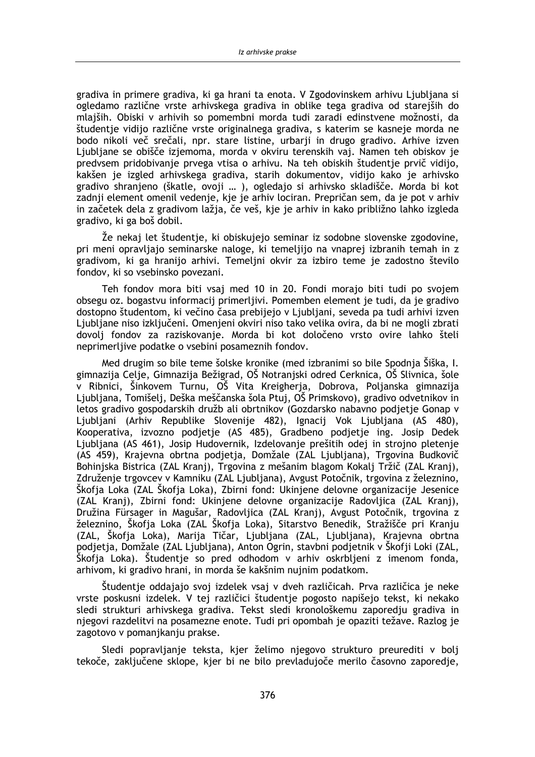gradiva in primere gradiva, ki ga hrani ta enota. V Zgodovinskem arhivu Liubliana si ogledamo različne vrste arhivskega gradiva in oblike tega gradiva od starejših do mlaiših. Obiski v arhivih so pomembni morda tudi zaradi edinstvene možnosti, da študentje vidijo različne vrste originalnega gradiva, s katerim se kasneje morda ne bodo nikoli več srečali, npr. stare listine, urbarji in drugo gradivo. Arhive izven Ljubljane se obišče izjemoma, morda v okviru terenskih vaj. Namen teh obiskov je predvsem pridobivanje prvega vtisa o arhivu. Na teh obiskih študentje prvič vidijo. kakšen je izgled arhivskega gradiva, starih dokumentov, vidijo kako je arhivsko gradivo shranjeno (škatle, ovoji ... ), ogledajo si arhivsko skladišče. Morda bi kot zadnji element omenil vedenje, kje je arhiv lociran. Prepričan sem, da je pot v arhiv in začetek dela z gradivom lažja, če veš, kje je arhiv in kako približno lahko izgleda gradivo, ki ga boš dobil.

Ze nekaj let študentje, ki obiskujejo seminar iz sodobne slovenske zgodovine, pri meni opravljajo seminarske naloge, ki temeljijo na vnaprej izbranih temah in z gradivom, ki ga hranijo arhivi. Temeljni okvir za izbiro teme je zadostno število fondov, ki so vsebinsko povezani.

Teh fondov mora biti vsaj med 10 in 20. Fondi morajo biti tudi po svojem obsegu oz. bogastvu informacij primerljivi. Pomemben element je tudi, da je gradivo dostopno študentom, ki večino časa prebijejo v Ljubljani, seveda pa tudi arhivi izven Ljubljane niso izključeni. Omenjeni okviri niso tako velika ovira, da bi ne mogli zbrati dovolj fondov za raziskovanje. Morda bi kot določeno vrsto ovire lahko šteli neprimerljive podatke o vsebini posameznih fondov.

Med drugim so bile teme šolske kronike (med izbranimi so bile Spodnja Šiška, I. gimnazija Celje, Gimnazija Bežigrad, OŠ Notranjski odred Cerknica, OŠ Slivnica, šole v Ribnici, Šinkovem Turnu, OŠ Vita Kreigherja, Dobrova, Poljanska gimnazija Ljubljana, Tomišelj, Deška meščanska šola Ptuj, OŠ Primskovo), gradivo odvetnikov in letos gradivo gospodarskih družb ali obrtnikov (Gozdarsko nabavno podjetje Gonap v Liubliani (Arhiv Republike Slovenije 482), Ignacii Vok Liubliana (AS 480), Kooperativa, izvozno podjetje (AS 485), Gradbeno podjetje ing. Josip Dedek Ljubljana (AS 461), Josip Hudovernik, Izdelovanje prešitih odej in strojno pletenje (AS 459), Krajevna obrtna podjetja, Domžale (ZAL Ljubljana), Trgovina Budkovič Bohinjska Bistrica (ZAL Kranj), Trgovina z mešanim blagom Kokalj Tržič (ZAL Kranj), Združenie trgovcev v Kamniku (ZAL Liubliana), Avgust Potočnik, trgovina z železnino, Škofja Loka (ZAL Škofja Loka), Zbirni fond: Ukinjene delovne organizacije Jesenice (ZAL Kranj), Zbirni fond: Ukinjene delovne organizacije Radovljica (ZAL Kranj), Družina Fürsager in Magušar, Radovljica (ZAL Kranj), Avgust Potočnik, trgovina z železnino, Škofja Loka (ZAL Škofja Loka), Sitarstvo Benedik, Stražišče pri Kranju (ZAL, Škofja Loka), Marija Tičar, Ljubljana (ZAL, Ljubljana), Krajevna obrtna podjetja, Domžale (ZAL Ljubljana), Anton Ogrin, stavbni podjetnik v Škofji Loki (ZAL, Škofja Loka). Študentje so pred odhodom v arhiv oskrbljeni z imenom fonda, arhivom, ki gradivo hrani, in morda še kakšnim nujnim podatkom.

Študentje oddajajo svoj izdelek vsaj v dveh različicah. Prva različica je neke vrste poskusni izdelek. V tej različici študentje pogosto napišejo tekst, ki nekako sledi strukturi arhivskega gradiva. Tekst sledi kronološkemu zaporedju gradiva in njegovi razdelitvi na posamezne enote. Tudi pri opombah je opaziti težave. Razlog je zagotovo v pomanjkanju prakse.

Sledi popravljanje teksta, kjer želimo njegovo strukturo preurediti v bolj tekoče, zaključene sklope, kjer bi ne bilo prevladujoče merilo časovno zaporedje,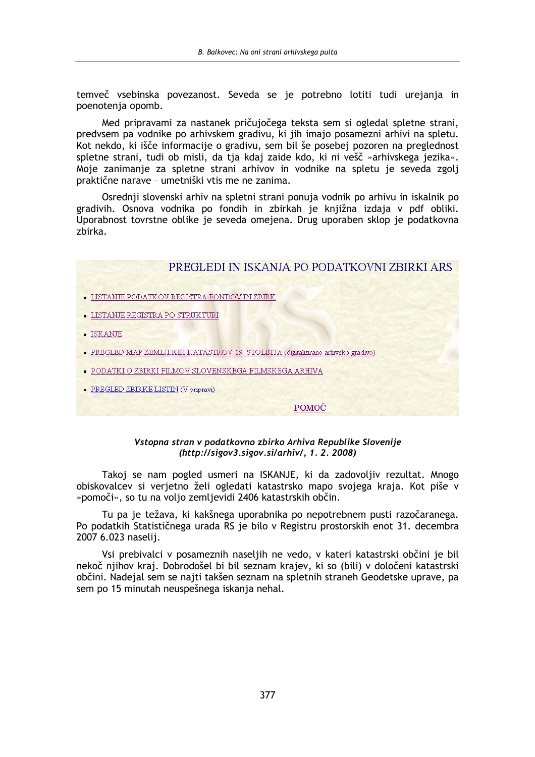temveč vsebinska povezanost. Seveda se je potrebno lotiti tudi urejanja in poenotenia opomb.

Med pripravami za nastanek pričujočega teksta sem si ogledal spletne strani, predvsem pa vodnike po arhivskem gradivu, ki jih imajo posamezni arhivi na spletu. Kot nekdo, ki išče informacije o gradivu, sem bil še posebej pozoren na preglednost spletne strani, tudi ob misli, da tja kdaj zaide kdo, ki ni vešč »arhivskega jezika«. Moje zanimanje za spletne strani arhivov in vodnike na spletu je seveda zgolj praktične narave - umetniški vtis me ne zanima.

Osrednji slovenski arhiv na spletni strani ponuja vodnik po arhivu in iskalnik po gradivih. Osnova vodnika po fondih in zbirkah je knjižna izdaja v pdf obliki. Uporabnost tovrstne oblike je seveda omejena. Drug uporaben sklop je podatkovna zbirka.

# PREGLEDI IN ISKANJA PO PODATKOVNI ZBIRKI ARS

- LISTANJE PODATKOV REGISTRA FONDOV IN ZBIRK
- LISTANJE REGISTRA PO STRUKTURI
- · ISKANJE
- · PREGLED MAP ZEMLJI KIH KATASTROV 19. STOLETJA (digitalizirano arhivsko gradivo)
- PODATKI O ZBIRKI FILMOV SLOVENSKEGA FILMSKEGA ARHIVA
- PREGLED ZBIRKE LISTIN (V pripravi)

# POMOČ

# Vstopna stran v podatkovno zbirko Arhiva Republike Slovenije (http://sigov3.sigov.si/arhiv/, 1.2.2008)

Takoj se nam pogled usmeri na ISKANJE, ki da zadovoljiv rezultat. Mnogo obiskovalcev si verjetno želi ogledati katastrsko mapo svojega kraja. Kot piše v »pomoči«, so tu na volio zemlievidi 2406 katastrskih občin.

Tu pa je težava, ki kakšnega uporabnika po nepotrebnem pusti razočaranega. Po podatkih Statističnega urada RS je bilo v Registru prostorskih enot 31. decembra 2007 6.023 naselii.

Vsi prebivalci v posameznih naseljih ne vedo, v kateri katastrski občini je bil nekoč njihov kraj. Dobrodošel bi bil seznam krajev, ki so (bili) v določeni katastrski občini. Nadejal sem se najti takšen seznam na spletnih straneh Geodetske uprave, pa sem po 15 minutah neuspešnega iskanja nehal.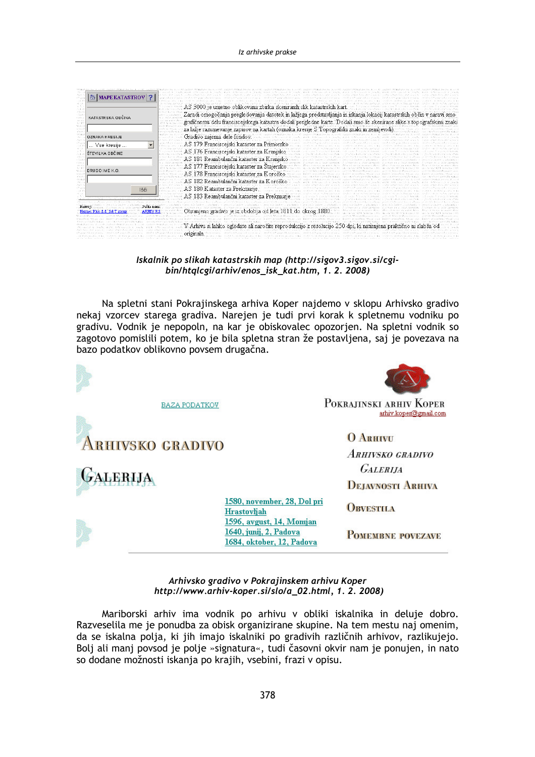| <b>MAPE KATASTROV</b> ?<br>KATASTRSKA OBČINA<br>23.7<br>NY K.<br>Maria. | 3000 je umetno oblikovana zbirka skeniranih slik katastrskih kart.<br>Zaradi omogočanja pregledovanja datotek in lažjega predstavljanja in iskanja lokacij katastrskih občin v naravi<br>grafičnemu delu franciscejskega katastra dodali pregledne karte. Dodali smo še skenirane slike s topografskimi znaki                                                                                                                                                                                                                                                                                                                                                                                                                                                                   |
|-------------------------------------------------------------------------|---------------------------------------------------------------------------------------------------------------------------------------------------------------------------------------------------------------------------------------------------------------------------------------------------------------------------------------------------------------------------------------------------------------------------------------------------------------------------------------------------------------------------------------------------------------------------------------------------------------------------------------------------------------------------------------------------------------------------------------------------------------------------------|
| <b>OZNAKA KRESIJE</b>                                                   | za lažje razumevanje zapisov na kartah (oznaka kresije S Topografski znaki in zemljevidi).<br>Gradivo zajema dele fondov:                                                                                                                                                                                                                                                                                                                                                                                                                                                                                                                                                                                                                                                       |
| Vse kresije                                                             | AS 179 Franciscejski kataster za Primorsko                                                                                                                                                                                                                                                                                                                                                                                                                                                                                                                                                                                                                                                                                                                                      |
| ŠTEVILKA OBČINE<br>DRUGO IME K.O.                                       | AS 176 Franciscejski kataster za Kranjsko-<br>Al 2011, all 2012, a service in the contract of the contract of the contract of the contract of the contract of<br>and an entertainment through the complete and an entertainment of the complete and the complete that the complete and the complete and the complete and the complete and the complete and the complete and the complete and th<br>AS 181 Reambulančni kataster za Kranjsko<br>provide lacker o visitante e venciale lacker o visitante e venciale lacker o visitante<br>turn in a salat condent. Journalism in a selectional film<br>AS 177 Franciscejski kataster za Stajersko<br>Maxim Reparation of the Maxim Reparation<br>AS 178 Franciscejski kataster za Koroško<br>AS 182 Reambulanční kataster za Kor |
| lšči                                                                    | AS 180 Kataster za Prekmurje<br>AS 183 Reambulančni kataster za<br>20 million deutscher Einen werden von der Aufgaben der Einen der Absten der Abstellung                                                                                                                                                                                                                                                                                                                                                                                                                                                                                                                                                                                                                       |
|                                                                         | to Main the di-                                                                                                                                                                                                                                                                                                                                                                                                                                                                                                                                                                                                                                                                                                                                                                 |

Iskalnik po slikah katastrskih map (http://sigov3.sigov.si/cgibin/htqlcgi/arhiv/enos\_isk\_kat.htm, 1.2.2008)

Na spletni stani Pokrajinskega arhiva Koper najdemo v sklopu Arhivsko gradivo nekaj vzorcev starega gradiva. Narejen je tudi prvi korak k spletnemu vodniku po gradivu. Vodnik je nepopoln, na kar je obiskovalec opozorjen. Na spletni vodnik so zagotovo pomislili potem, ko je bila spletna stran že postavljena, saj je povezava na bazo podatkov oblikovno povsem drugačna.



### Arhivsko gradivo v Pokrajinskem arhivu Koper http://www.arhiv-koper.si/slo/a\_02.html, 1.2.2008)

Mariborski arhiv ima vodnik po arhivu v obliki iskalnika in deluje dobro. Razveselila me je ponudba za obisk organizirane skupine. Na tem mestu naj omenim, da se iskalna polja, ki jih imajo iskalniki po gradivih različnih arhivov, razlikujejo. Bolj ali manj povsod je polje »signatura«, tudi časovni okvir nam je ponujen, in nato so dodane možnosti iskanja po krajih, vsebini, frazi v opisu.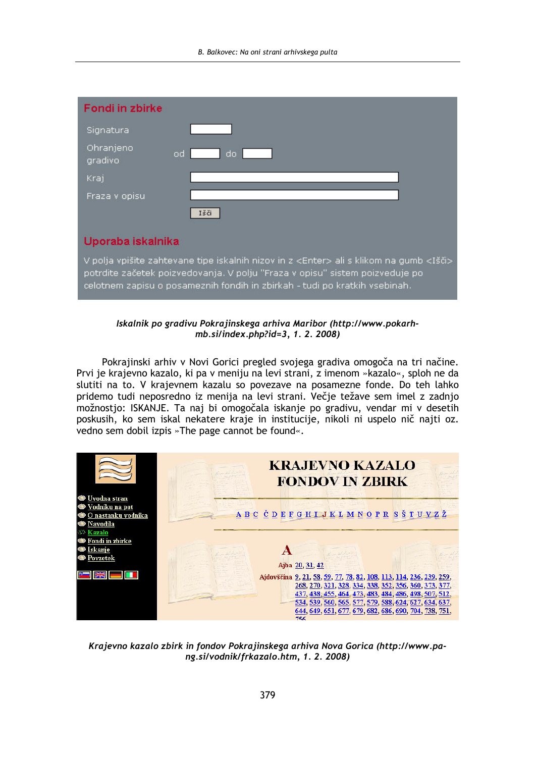| Fondi in zbirke      |                                                                                                                                                                                                                                                                       |
|----------------------|-----------------------------------------------------------------------------------------------------------------------------------------------------------------------------------------------------------------------------------------------------------------------|
| Signatura            |                                                                                                                                                                                                                                                                       |
| Ohranjeno<br>gradivo | do.<br>od i                                                                                                                                                                                                                                                           |
| Krai                 |                                                                                                                                                                                                                                                                       |
| Fraza v opisu        |                                                                                                                                                                                                                                                                       |
|                      | Išči                                                                                                                                                                                                                                                                  |
| Uporaba iskalnika    |                                                                                                                                                                                                                                                                       |
|                      | V polja vpišite zahtevane tipe iskalnih nizov in z <enter> ali s klikom na gumb <išči><br/>potrdite začetek poizvedovanja. V polju "Fraza v opisu" sistem poizveduje po<br/>celotnem zapisu o posameznih fondih in zbirkah - tudi po kratkih vsebinah.</išči></enter> |

# Iskalnik po gradivu Pokrajinskega arhiva Maribor (http://www.pokarhmb.si/index.php?id=3, 1. 2. 2008)

Pokrajinski arhiv v Novi Gorici pregled svojega gradiva omogoča na tri načine. Prvi je krajevno kazalo, ki pa v meniju na levi strani, z imenom »kazalo«, sploh ne da slutiti na to. V krajevnem kazalu so povezave na posamezne fonde. Do teh lahko pridemo tudi neposredno iz menija na levi strani. Večje težave sem imel z zadnjo možnostjo: ISKANJE. Ta naj bi omogočala iskanje po gradivu, vendar mi v desetih poskusih, ko sem iskal nekatere kraje in institucije, nikoli ni uspelo nič najti oz. vedno sem dobil izpis »The page cannot be found«.



Krajevno kazalo zbirk in fondov Pokrajinskega arhiva Nova Gorica (http://www.pang.si/vodnik/frkazalo.htm, 1.2.2008)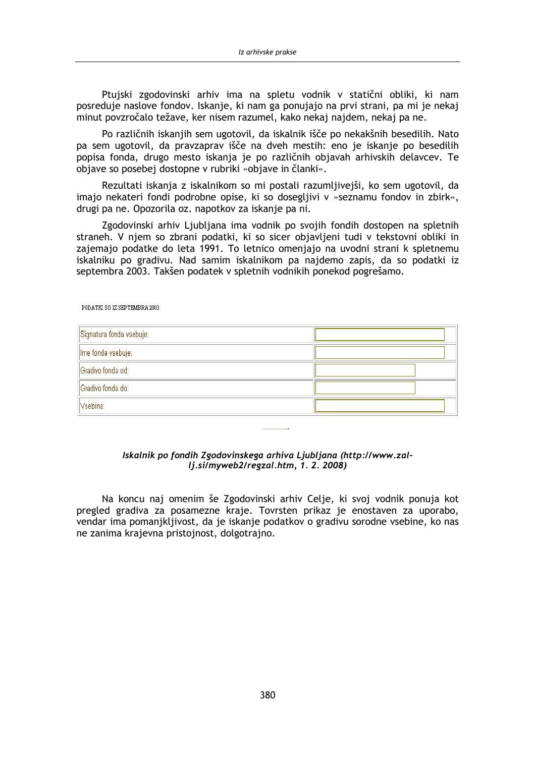Ptuiski zgodovinski arhiv ima na spletu vodnik v statični obliki, ki nam posreduje naslove fondov. Iskanje, ki nam ga ponujajo na prvi strani, pa mi je nekaj minut povzročalo težave, ker nisem razumel, kako nekaj najdem, nekaj pa ne.

Po različnih iskanjih sem ugotovil, da iskalnik išče po nekakšnih besedilih. Nato pa sem ugotovil, da pravzaprav išče na dveh mestih: eno je iskanje po besedilih popisa fonda, drugo mesto iskanja je po različnih objavah arhivskih delavcev. Te objave so posebej dostopne v rubriki »objave in članki«.

Rezultati iskanja z iskalnikom so mi postali razumljivejši, ko sem ugotovil, da imajo nekateri fondi podrobne opise, ki so dosegljivi v »seznamu fondov in zbirk«, drugi pa ne. Opozorila oz. napotkov za iskanje pa ni.

Zgodovinski arhiv Ljubljana ima vodnik po svojih fondih dostopen na spletnih straneh. V njem so zbrani podatki, ki so sicer objavljeni tudi v tekstovni obliki in zajemajo podatke do leta 1991. To letnico omenjajo na uvodni strani k spletnemu iskalniku po gradivu. Nad samim iskalnikom pa najdemo zapis, da so podatki iz septembra 2003. Takšen podatek v spletnih vodnikih ponekod pogrešamo.

| PODATKI SO IZ SEPTEMBRA 2003 |  |
|------------------------------|--|
| Signatura fonda vsebuje:     |  |
| Ime fonda vsebuje:           |  |
| Gradivo fonda od:            |  |
| Gradivo fonda do:            |  |
| Vsebina:                     |  |

# Iskalnik po fondih Zgodovinskega arhiva Ljubljana (http://www.zallj.si/myweb2/regzal.htm, 1.2.2008)

Na koncu naj omenim še Zgodovinski arhiv Celje, ki svoj vodnik ponuja kot pregled gradiva za posamezne kraje. Tovrsten prikaz je enostaven za uporabo, vendar ima pomanikliivost, da je iskanje podatkov o gradivu sorodne vsebine, ko nas ne zanima krajevna pristojnost, dolgotrajno.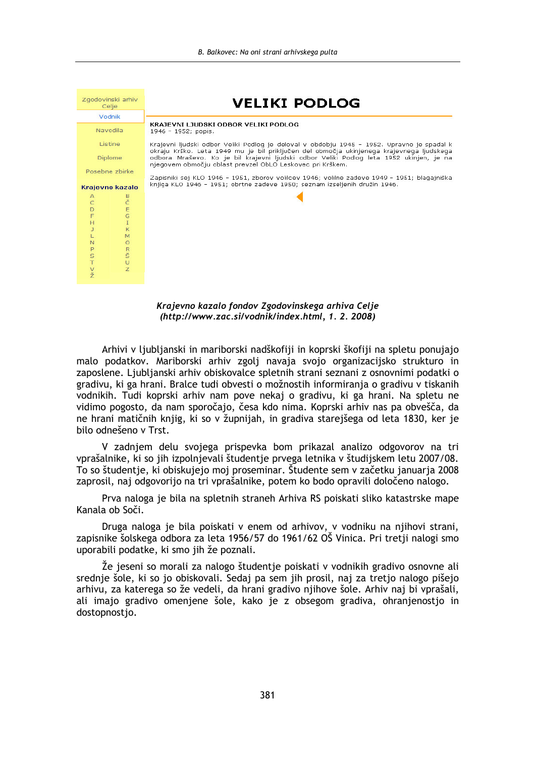|                       | Zgodovinski arhiv<br>Celje | VELIKI PODLOG                                                                                                                                                                                                                                    |
|-----------------------|----------------------------|--------------------------------------------------------------------------------------------------------------------------------------------------------------------------------------------------------------------------------------------------|
|                       | Vodnik                     |                                                                                                                                                                                                                                                  |
|                       | Navodila                   | KRAJEVNI LJUDSKI ODBOR VELIKI PODLOG<br>1946 - 1952; popis.                                                                                                                                                                                      |
|                       | Listine                    | Krajevni ljudski odbor Veliki Podlog je deloval v obdobju 1945 - 1952. Upravno je spadal k                                                                                                                                                       |
|                       | <b>Diplome</b>             | okraju Krško. Leta 1949 mu je bil priključen del območja ukinjenega krajevnega ljudskega<br>odbora Mraševo. Ko je bil krajevni ljudski odbor Veliki Podlog leta 1952 ukinjen, je na<br>njegovem območju oblast prevzel ObLO Leskovec pri Krškem. |
|                       | Posebne zbirke             |                                                                                                                                                                                                                                                  |
|                       | Krajevno kazalo            | Zapisniki sej KLO 1946 - 1951, zborov volilcev 1946; volilne zadeve 1949 - 1951; blagajniška<br>knjiga KLO 1946 - 1951; obrtne zadeve 1950; seznam izseljenih družin 1946.                                                                       |
| А                     | В<br>Č                     |                                                                                                                                                                                                                                                  |
| ITODO                 |                            |                                                                                                                                                                                                                                                  |
|                       | E<br>$\overline{G}$        |                                                                                                                                                                                                                                                  |
|                       | $\mathsf{T}$               |                                                                                                                                                                                                                                                  |
| $\mathbf{J}$          | K                          |                                                                                                                                                                                                                                                  |
| L<br>$\mathbb{N}$     | M<br>$\circ$               |                                                                                                                                                                                                                                                  |
|                       |                            |                                                                                                                                                                                                                                                  |
| P<br>S                | R<br>Š                     |                                                                                                                                                                                                                                                  |
| $\top$                | Ü<br>Z                     |                                                                                                                                                                                                                                                  |
| $\frac{V}{\check{Z}}$ |                            |                                                                                                                                                                                                                                                  |
|                       |                            |                                                                                                                                                                                                                                                  |

Krajevno kazalo fondov Zgodovinskega arhiva Celje (http://www.zac.si/vodnik/index.html, 1.2.2008)

Arhivi v ljubljanski in mariborski nadškofiji in koprski škofiji na spletu ponujajo malo podatkov. Mariborski arhiv zgolj navaja svojo organizacijsko strukturo in zaposlene. Ljubljanski arhiv obiskovalce spletnih strani seznani z osnovnimi podatki o gradivu, ki ga hrani. Bralce tudi obvesti o možnostih informiranja o gradivu v tiskanih vodnikih. Tudi koprski arhiv nam pove nekaj o gradivu, ki ga hrani. Na spletu ne vidimo pogosto, da nam sporočajo, česa kdo nima. Koprski arhiv nas pa obvešča, da ne hrani matičnih knijg, ki so v župnijah, in gradiva starejšega od leta 1830, ker je bilo odnešeno v Trst.

V zadnjem delu svojega prispevka bom prikazal analizo odgovorov na tri vprašalnike, ki so jih izpolnjevali študentje prvega letnika v študijskem letu 2007/08. To so študentje, ki obiskujejo moj proseminar. Študente sem v začetku januaria 2008 zaprosil, naj odgovorijo na tri vprašalnike, potem ko bodo opravili določeno nalogo.

Prva naloga je bila na spletnih straneh Arhiva RS pojskati sliko katastrske mape Kanala ob Soči.

Druga naloga je bila pojskati v enem od arhivov, v vodniku na njihovi strani, zapisnike šolskega odbora za leta 1956/57 do 1961/62 OŠ Vinica. Pri tretji nalogi smo uporabili podatke, ki smo jih že poznali.

Že jeseni so morali za nalogo študentje poiskati v vodnikih gradivo osnovne ali srednje šole, ki so jo obiskovali. Sedaj pa sem jih prosil, naj za tretjo nalogo pišejo arhivu, za katerega so že vedeli, da hrani gradivo njihove šole. Arhiv naj bi vprašali, ali imajo gradivo omenjene šole, kako je z obsegom gradiva, ohranjenostjo in dostopnostjo.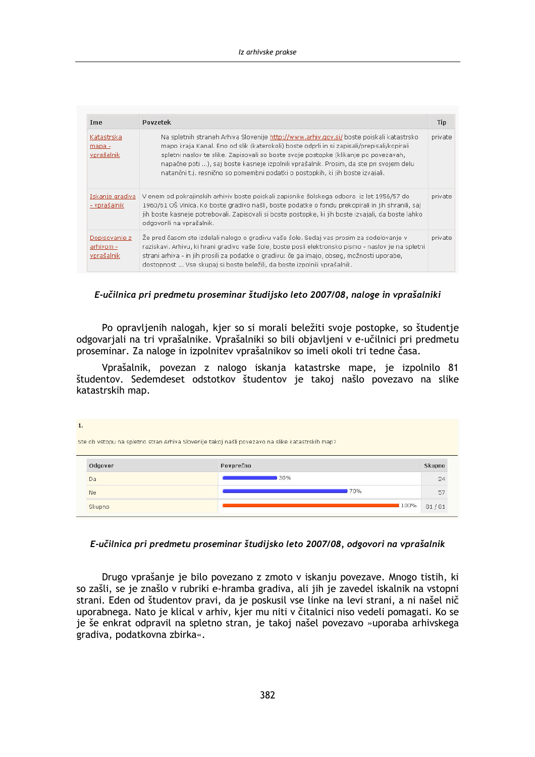| Ime                                      | Povzetek                                                                                                                                                                                                                                                                                                                                                                                                                                               | <b>Tip</b> |
|------------------------------------------|--------------------------------------------------------------------------------------------------------------------------------------------------------------------------------------------------------------------------------------------------------------------------------------------------------------------------------------------------------------------------------------------------------------------------------------------------------|------------|
| Katastrska<br>$mapa -$<br>vprašalnik     | Na spletnih straneh Arhiva Slovenije http://www.arhiv.gov.si/boste poiskali katastrsko<br>mapo kraja Kanal. Eno od slik (katerokoli) boste odprli in si zapisali/prepisali/kopirali<br>spletni naslov te slike. Zapisovali so boste svoje postopke (klikanje po povezavah,<br>napačne poti ), saj boste kasneje izpolnili vprašalnik. Prosim, da ste pri svojem delu<br>natančni t.j. resnično so pomembni podatki o postopkih, ki jih boste izvajali. | private    |
| Iskanje gradiva<br>- vprašalnik          | V enem od pokrajinskih arhiviv boste poiskali zapisnike šolskega odbora iz let 1956/57 do<br>1960/61 OŠ Vinica. Ko boste gradivo našli, boste podatke o fondu prekopirali in jih shranili, saj<br>jih boste kasneje potrebovali. Zapisovali si boste postopke, ki jih boste izvajali, da boste lahko<br>odgovorili na vprašalnik.                                                                                                                      | private    |
| Dopisovanie z<br>arhivom -<br>vprašalnik | Že pred časom ste izdelali nalogo o gradivu vaše šole. Sedaj vas prosim za sodelovanje v<br>raziskavi. Arhivu, ki hrani gradivo vaše šole, boste posli elektronsko pismo - naslov je na spletni<br>strani arhiva - in jih prosili za podatke o gradivu: če ga imajo, obseg, možnosti uporabe,<br>dostopnost  Vse skupaj si boste beležili, da boste izpolnili vprašalnik.                                                                              | private    |

E-učilnica pri predmetu proseminar študijsko leto 2007/08, naloge in vprašalniki

Po opravljenih nalogah, kjer so si morali beležiti svoje postopke, so študentje odgovarjali na tri vprašalnike. Vprašalniki so bili objavljeni v e-učilnici pri predmetu proseminar. Za naloge in izpolnitev vprašalnikov so imeli okoli tri tedne časa.

Vprašalnik, povezan z nalogo iskanja katastrske mape, je izpolnilo 81 študentov. Sedemdeset odstotkov študentov je takoj našlo povezavo na slike katastrskih map.

 $1.$ Ste ob vstopu na spletno stran Arhiva Slovenije takoj našli povezavo na slike katastrskih map? Odgovor Povprečno Skunnn  $30%$ Da  $24$  $170%$ Ne 57 100% Skupno  $81/81$ 

# E-učilnica pri predmetu proseminar študijsko leto 2007/08, odgovori na vprašalnik

Drugo vprašanje je bilo povezano z zmoto v iskanju povezave. Mnogo tistih, ki so zašli, se je znašlo v rubriki e-hramba gradiva, ali jih je zavedel iskalnik na vstopni strani. Eden od študentov pravi, da je poskusil vse linke na levi strani, a ni našel nič uporabnega. Nato je klical v arhiv, kjer mu niti v čitalnici niso vedeli pomagati. Ko se je še enkrat odpravil na spletno stran, je takoj našel povezavo »uporaba arhivskega gradiva, podatkovna zbirka«.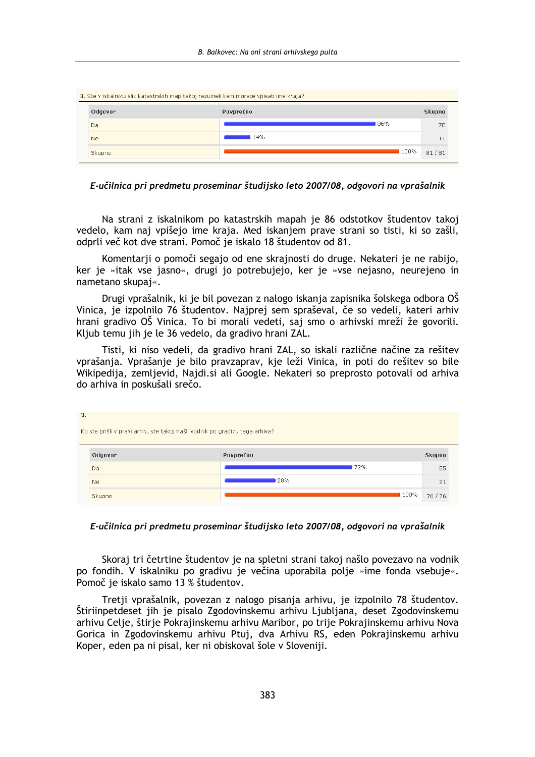| Odgovor       | Povprečno | <b>Skupno</b> |
|---------------|-----------|---------------|
| Da            | 86%       | 70            |
| Ne            | 14%       |               |
| <b>Skupno</b> | 100%      | 81/81         |

E-učilnica pri predmetu proseminar študijsko leto 2007/08. odgovori na vprašalnik

Na strani z iskalnikom po katastrskih mapah je 86 odstotkov študentov takoj vedelo, kam naj vpišejo ime kraja. Med iskanjem prave strani so tisti, ki so zašli, odprli več kot dve strani. Pomoč je iskalo 18 študentov od 81.

Komentarji o pomoči segajo od ene skrajnosti do druge. Nekateri je ne rabijo, ker je »itak vse jasno«, drugi jo potrebujejo, ker je »vse nejasno, neurejeno in nametano skupai«.

Drugi vprašalnik, ki je bil povezan z nalogo iskanja zapisnika šolskega odbora OŠ Vinica, je izpolnilo 76 študentov. Najprej sem spraševal, če so vedeli, kateri arhiv hrani gradivo OŠ Vinica. To bi morali vedeti, saj smo o arhivski mreži že govorili. Kljub temu jih je le 36 vedelo, da gradivo hrani ZAL.

Tisti, ki niso vedeli, da gradivo hrani ZAL, so iskali različne načine za rešitev vprašanja. Vprašanje je bilo pravzaprav, kje leži Vinica, in poti do rešitev so bile Wikipedija, zemljevid, Najdi.si ali Google. Nekateri so preprosto potovali od arhiva do arhiva in poskušali srečo.

| Odgovor | Povprečno | Skupno    |
|---------|-----------|-----------|
| Da      |           | 72%<br>55 |
|         | 28%       |           |

# E-učilnica pri predmetu proseminar študijsko leto 2007/08, odgovori na vprašalnik

Skoraj tri četrtine študentov je na spletni strani takoj našlo povezavo na vodnik po fondih. V iskalniku po gradivu je večina uporabila polje »ime fonda vsebuje«. Pomoč je iskalo samo 13 % študentov.

Tretji vprašalnik, povezan z nalogo pisanja arhivu, je izpolnilo 78 študentov. Štiriinpetdeset jih je pisalo Zgodovinskemu arhivu Ljubljana, deset Zgodovinskemu arhivu Celje, štirje Pokrajinskemu arhivu Maribor, po trije Pokrajinskemu arhivu Nova Gorica in Zgodovinskemu arhivu Ptuj, dva Arhivu RS, eden Pokrajinskemu arhivu Koper, eden pa ni pisal, ker ni obiskoval šole v Sloveniji.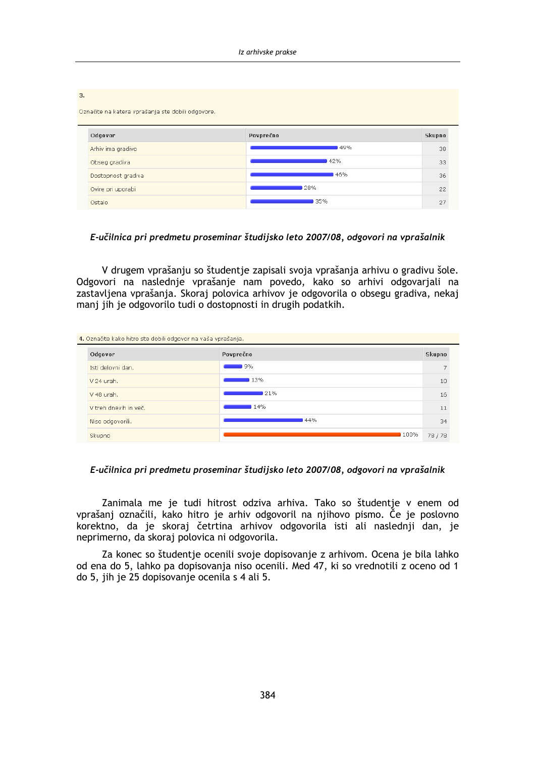| Označite na katera vprašanja ste dobili odgovore. |           |        |
|---------------------------------------------------|-----------|--------|
| Odgovor                                           | Povprečno | Skupno |
| Arhiv ima gradivo                                 | 49%       | 38     |
| Obseg gradiva                                     | 42%       | 33     |
| Dostopnost gradiva                                | 46%       | 36     |
| Ovire pri uporabi                                 | 28%       | 22     |
| Ostalo                                            | 35%       | 27     |

### E-učilnica pri predmetu proseminar študijsko leto 2007/08, odgovori na vprašalnik

V drugem vprašanju so študentje zapisali svoja vprašanja arhivu o gradivu šole. Odgovori na naslednie vprašanie nam povedo, kako so arhivi odgovariali na zastavljena vprašanja. Skoraj polovica arhivov je odgovorila o obsegu gradiva, nekaj manj jih je odgovorilo tudi o dostopnosti in drugih podatkih.

| Odgovor               | Povprečno | <b>Skupno</b>  |
|-----------------------|-----------|----------------|
| Isti delovni dan.     | 19%       | $\overline{ }$ |
| V 24 urah.            | 13%       | 10             |
| V 48 urah.            | 21%       | 16             |
| V treh dnevih in več. | 14%       | 11             |
| Niso odgovorili.      | 44%       | 34             |
| Skupno                | 100%      | 78/78          |

# E-učilnica pri predmetu proseminar študijsko leto 2007/08, odgovori na vprašalnik

Zanimala me je tudi hitrost odziva arhiva. Tako so študentje v enem od vprašanj označili, kako hitro je arhiv odgovoril na njihovo pismo. Če je poslovno korektno, da je skoraj četrtina arhivov odgovorila isti ali naslednji dan, je neprimerno, da skoraj polovica ni odgovorila.

Za konec so študentje ocenili svoje dopisovanje z arhivom. Ocena je bila lahko od ena do 5, lahko pa dopisovanja niso ocenili. Med 47, ki so vrednotili z oceno od 1 do 5, jih je 25 dopisovanje ocenila s 4 ali 5.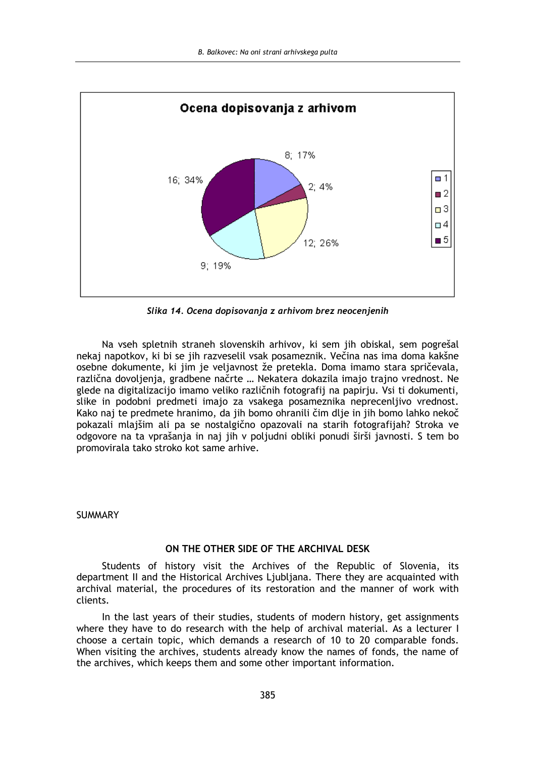

Slika 14. Ocena dopisovanja z arhivom brez neocenjenih

Na vseh spletnih straneh slovenskih arhivov, ki sem jih obiskal, sem pogrešal nekaj napotkov, ki bi se jih razveselil vsak posameznik. Večina nas ima doma kakšne osebne dokumente, ki jim je veljavnost že pretekla. Doma imamo stara spričevala, različna dovoljenja, gradbene načrte ... Nekatera dokazila imajo trajno vrednost. Ne glede na digitalizacijo imamo veliko različnih fotografij na papirju. Vsi ti dokumenti, slike in podobni predmeti imajo za vsakega posameznika neprecenljivo vrednost. Kako naj te predmete hranimo, da jih bomo ohranili čim dlie in jih bomo lahko nekoč pokazali mlajšim ali pa se nostalgično opazovali na starih fotografijah? Stroka ve odgovore na ta vprašanja in naj jih v poljudni obliki ponudi širši javnosti. S tem bo promovirala tako stroko kot same arhive.

# **SUMMARY**

# ON THE OTHER SIDE OF THE ARCHIVAL DESK

Students of history visit the Archives of the Republic of Slovenia, its department II and the Historical Archives Ljubljana. There they are acquainted with archival material, the procedures of its restoration and the manner of work with clients.

In the last years of their studies, students of modern history, get assignments where they have to do research with the help of archival material. As a lecturer I choose a certain topic, which demands a research of 10 to 20 comparable fonds. When visiting the archives, students already know the names of fonds, the name of the archives, which keeps them and some other important information.